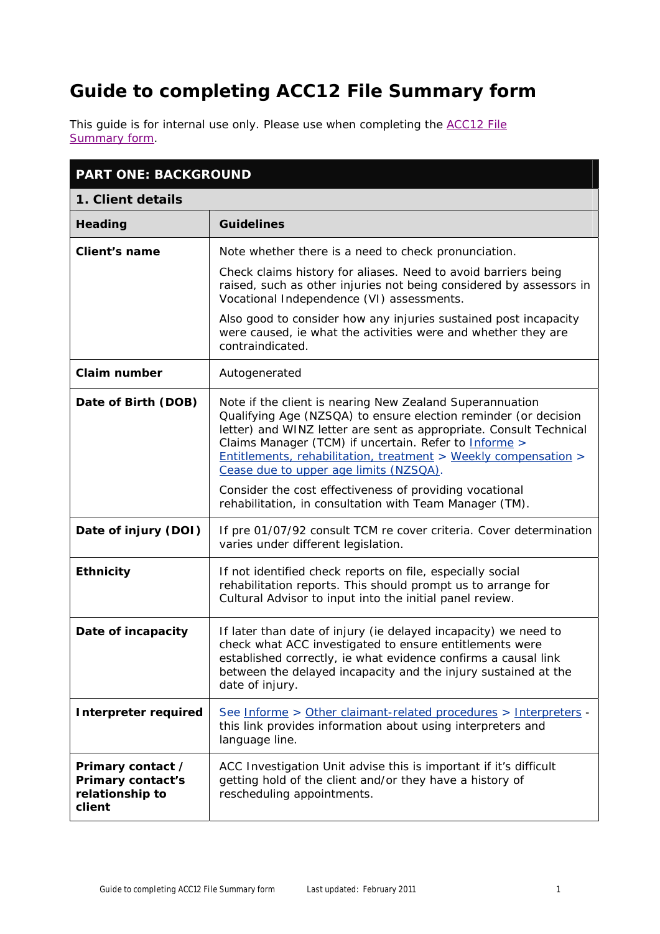# **Guide to completing** *ACC12 File Summary form*

[This guide is for internal use only. Please use when completing the](http://acctoday/PRD_CSMP/groups/both_informe/documents/checklist/inf03975.doc) *ACC12 File Summary form.*

| <b>PART ONE: BACKGROUND</b>                                         |                                                                                                                                                                                                                                                                                                                                                                                                                                    |
|---------------------------------------------------------------------|------------------------------------------------------------------------------------------------------------------------------------------------------------------------------------------------------------------------------------------------------------------------------------------------------------------------------------------------------------------------------------------------------------------------------------|
| 1. Client details                                                   |                                                                                                                                                                                                                                                                                                                                                                                                                                    |
| Heading                                                             | <b>Guidelines</b>                                                                                                                                                                                                                                                                                                                                                                                                                  |
| <b>Client's name</b>                                                | Note whether there is a need to check pronunciation.                                                                                                                                                                                                                                                                                                                                                                               |
|                                                                     | Check claims history for aliases. Need to avoid barriers being<br>raised, such as other injuries not being considered by assessors in<br>Vocational Independence (VI) assessments.                                                                                                                                                                                                                                                 |
|                                                                     | Also good to consider how any injuries sustained post incapacity<br>were caused, ie what the activities were and whether they are<br>contraindicated.                                                                                                                                                                                                                                                                              |
| <b>Claim number</b>                                                 | Autogenerated                                                                                                                                                                                                                                                                                                                                                                                                                      |
| Date of Birth (DOB)                                                 | Note if the client is nearing New Zealand Superannuation<br>Qualifying Age (NZSQA) to ensure election reminder (or decision<br>letter) and WINZ letter are sent as appropriate. Consult Technical<br>Claims Manager (TCM) if uncertain. Refer to Informe ><br>Entitlements, rehabilitation, treatment > Weekly compensation ><br>Cease due to upper age limits (NZSQA).<br>Consider the cost effectiveness of providing vocational |
|                                                                     | rehabilitation, in consultation with Team Manager (TM).                                                                                                                                                                                                                                                                                                                                                                            |
| Date of injury (DOI)                                                | If pre 01/07/92 consult TCM re cover criteria. Cover determination<br>varies under different legislation.                                                                                                                                                                                                                                                                                                                          |
| <b>Ethnicity</b>                                                    | If not identified check reports on file, especially social<br>rehabilitation reports. This should prompt us to arrange for<br>Cultural Advisor to input into the initial panel review.                                                                                                                                                                                                                                             |
| Date of incapacity                                                  | If later than date of injury (ie delayed incapacity) we need to<br>check what ACC investigated to ensure entitlements were<br>established correctly, ie what evidence confirms a causal link<br>between the delayed incapacity and the injury sustained at the<br>date of injury.                                                                                                                                                  |
| <b>Interpreter required</b>                                         | See Informe > Other claimant-related procedures > Interpreters -<br>this link provides information about using interpreters and<br>language line.                                                                                                                                                                                                                                                                                  |
| Primary contact /<br>Primary contact's<br>relationship to<br>client | ACC Investigation Unit advise this is important if it's difficult<br>getting hold of the client and/or they have a history of<br>rescheduling appointments.                                                                                                                                                                                                                                                                        |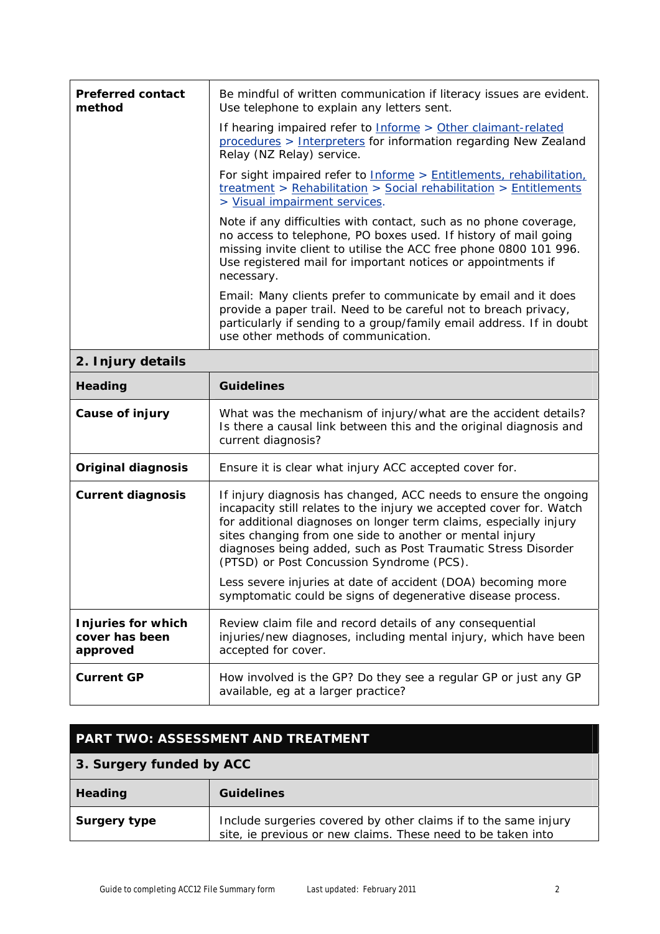| <b>Preferred contact</b><br>method | Be mindful of written communication if literacy issues are evident.<br>Use telephone to explain any letters sent.                                                                                                                                                                       |
|------------------------------------|-----------------------------------------------------------------------------------------------------------------------------------------------------------------------------------------------------------------------------------------------------------------------------------------|
|                                    | If hearing impaired refer to Informe > Other claimant-related<br>procedures > Interpreters for information regarding New Zealand<br>Relay (NZ Relay) service.                                                                                                                           |
|                                    | For sight impaired refer to <b>Informe</b> > Entitlements, rehabilitation,<br>treatment > Rehabilitation > Social rehabilitation > Entitlements<br>> Visual impairment services.                                                                                                        |
|                                    | Note if any difficulties with contact, such as no phone coverage,<br>no access to telephone, PO boxes used. If history of mail going<br>missing invite client to utilise the ACC free phone 0800 101 996.<br>Use registered mail for important notices or appointments if<br>necessary. |
|                                    | Email: Many clients prefer to communicate by email and it does<br>provide a paper trail. Need to be careful not to breach privacy,<br>particularly if sending to a group/family email address. If in doubt<br>use other methods of communication.                                       |
| 2. Injury details                  |                                                                                                                                                                                                                                                                                         |

## **2. Injury details**

| Heading                                          | <b>Guidelines</b>                                                                                                                                                                                                                                                                                                                                                                                                                                                                                                     |
|--------------------------------------------------|-----------------------------------------------------------------------------------------------------------------------------------------------------------------------------------------------------------------------------------------------------------------------------------------------------------------------------------------------------------------------------------------------------------------------------------------------------------------------------------------------------------------------|
| Cause of injury                                  | What was the mechanism of injury/what are the accident details?<br>Is there a causal link between this and the original diagnosis and<br>current diagnosis?                                                                                                                                                                                                                                                                                                                                                           |
| <b>Original diagnosis</b>                        | Ensure it is clear what injury ACC accepted cover for.                                                                                                                                                                                                                                                                                                                                                                                                                                                                |
| <b>Current diagnosis</b>                         | If injury diagnosis has changed, ACC needs to ensure the ongoing<br>incapacity still relates to the injury we accepted cover for. Watch<br>for additional diagnoses on longer term claims, especially injury<br>sites changing from one side to another or mental injury<br>diagnoses being added, such as Post Traumatic Stress Disorder<br>(PTSD) or Post Concussion Syndrome (PCS).<br>Less severe injuries at date of accident (DOA) becoming more<br>symptomatic could be signs of degenerative disease process. |
| Injuries for which<br>cover has been<br>approved | Review claim file and record details of any consequential<br>injuries/new diagnoses, including mental injury, which have been<br>accepted for cover.                                                                                                                                                                                                                                                                                                                                                                  |
| <b>Current GP</b>                                | How involved is the GP? Do they see a regular GP or just any GP<br>available, eg at a larger practice?                                                                                                                                                                                                                                                                                                                                                                                                                |

## **PART TWO: ASSESSMENT AND TREATMENT**

## **3. Surgery funded by ACC**

| Heading             | <b>Guidelines</b>                                                                                                               |
|---------------------|---------------------------------------------------------------------------------------------------------------------------------|
| <b>Surgery type</b> | Include surgeries covered by other claims if to the same injury<br>site, ie previous or new claims. These need to be taken into |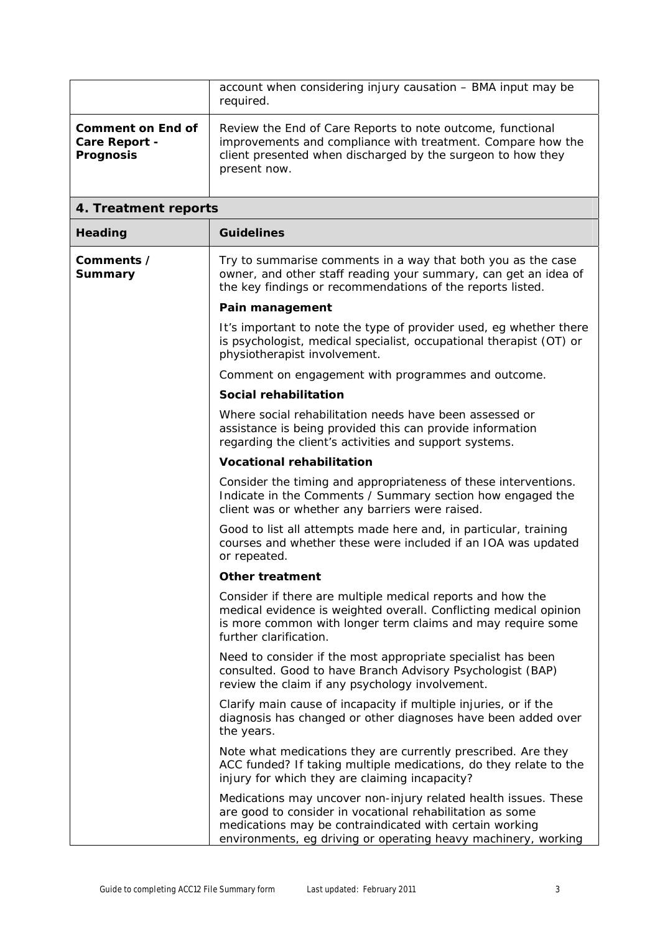|                                                               | account when considering injury causation - BMA input may be<br>required.                                                                                                                                                                                 |
|---------------------------------------------------------------|-----------------------------------------------------------------------------------------------------------------------------------------------------------------------------------------------------------------------------------------------------------|
| <b>Comment on End of</b><br>Care Report -<br><b>Prognosis</b> | Review the End of Care Reports to note outcome, functional<br>improvements and compliance with treatment. Compare how the<br>client presented when discharged by the surgeon to how they<br>present now.                                                  |
| 4. Treatment reports                                          |                                                                                                                                                                                                                                                           |
| <b>Heading</b>                                                | <b>Guidelines</b>                                                                                                                                                                                                                                         |
| Comments /<br>Summary                                         | Try to summarise comments in a way that both you as the case<br>owner, and other staff reading your summary, can get an idea of<br>the key findings or recommendations of the reports listed.                                                             |
|                                                               | Pain management                                                                                                                                                                                                                                           |
|                                                               | It's important to note the type of provider used, eg whether there<br>is psychologist, medical specialist, occupational therapist (OT) or<br>physiotherapist involvement.                                                                                 |
|                                                               | Comment on engagement with programmes and outcome.                                                                                                                                                                                                        |
|                                                               | Social rehabilitation                                                                                                                                                                                                                                     |
|                                                               | Where social rehabilitation needs have been assessed or<br>assistance is being provided this can provide information<br>regarding the client's activities and support systems.                                                                            |
|                                                               | <b>Vocational rehabilitation</b>                                                                                                                                                                                                                          |
|                                                               | Consider the timing and appropriateness of these interventions.<br>Indicate in the Comments / Summary section how engaged the<br>client was or whether any barriers were raised.                                                                          |
|                                                               | Good to list all attempts made here and, in particular, training<br>courses and whether these were included if an IOA was updated<br>or repeated.                                                                                                         |
|                                                               | <b>Other treatment</b>                                                                                                                                                                                                                                    |
|                                                               | Consider if there are multiple medical reports and how the<br>medical evidence is weighted overall. Conflicting medical opinion<br>is more common with longer term claims and may require some<br>further clarification.                                  |
|                                                               | Need to consider if the most appropriate specialist has been<br>consulted. Good to have Branch Advisory Psychologist (BAP)<br>review the claim if any psychology involvement.                                                                             |
|                                                               | Clarify main cause of incapacity if multiple injuries, or if the<br>diagnosis has changed or other diagnoses have been added over<br>the years.                                                                                                           |
|                                                               | Note what medications they are currently prescribed. Are they<br>ACC funded? If taking multiple medications, do they relate to the<br>injury for which they are claiming incapacity?                                                                      |
|                                                               | Medications may uncover non-injury related health issues. These<br>are good to consider in vocational rehabilitation as some<br>medications may be contraindicated with certain working<br>environments, eg driving or operating heavy machinery, working |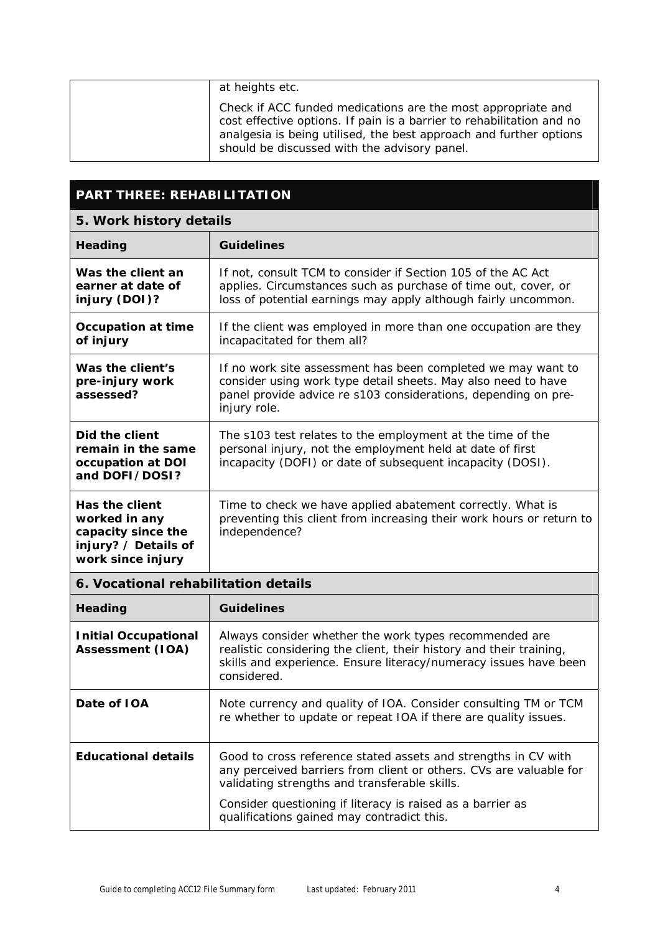| at heights etc.                                                                                                                                                                                                                                             |
|-------------------------------------------------------------------------------------------------------------------------------------------------------------------------------------------------------------------------------------------------------------|
| Check if ACC funded medications are the most appropriate and<br>cost effective options. If pain is a barrier to rehabilitation and no<br>analgesia is being utilised, the best approach and further options<br>should be discussed with the advisory panel. |

## **PART THREE: REHABILITATION**

## **5. Work history details**

| <b>Guidelines</b>                                                                                                                                                                                                                                                                                 |
|---------------------------------------------------------------------------------------------------------------------------------------------------------------------------------------------------------------------------------------------------------------------------------------------------|
|                                                                                                                                                                                                                                                                                                   |
| If not, consult TCM to consider if Section 105 of the AC Act<br>applies. Circumstances such as purchase of time out, cover, or<br>loss of potential earnings may apply although fairly uncommon.                                                                                                  |
| If the client was employed in more than one occupation are they<br>incapacitated for them all?                                                                                                                                                                                                    |
| If no work site assessment has been completed we may want to<br>consider using work type detail sheets. May also need to have<br>panel provide advice re s103 considerations, depending on pre-<br>injury role.                                                                                   |
| The s103 test relates to the employment at the time of the<br>personal injury, not the employment held at date of first<br>incapacity (DOFI) or date of subsequent incapacity (DOSI).                                                                                                             |
| Time to check we have applied abatement correctly. What is<br>preventing this client from increasing their work hours or return to<br>independence?                                                                                                                                               |
| 6. Vocational rehabilitation details                                                                                                                                                                                                                                                              |
| <b>Guidelines</b>                                                                                                                                                                                                                                                                                 |
| Always consider whether the work types recommended are<br>realistic considering the client, their history and their training,<br>skills and experience. Ensure literacy/numeracy issues have been<br>considered.                                                                                  |
| Note currency and quality of IOA. Consider consulting TM or TCM<br>re whether to update or repeat IOA if there are quality issues.                                                                                                                                                                |
| Good to cross reference stated assets and strengths in CV with<br>any perceived barriers from client or others. CVs are valuable for<br>validating strengths and transferable skills.<br>Consider questioning if literacy is raised as a barrier as<br>qualifications gained may contradict this. |
|                                                                                                                                                                                                                                                                                                   |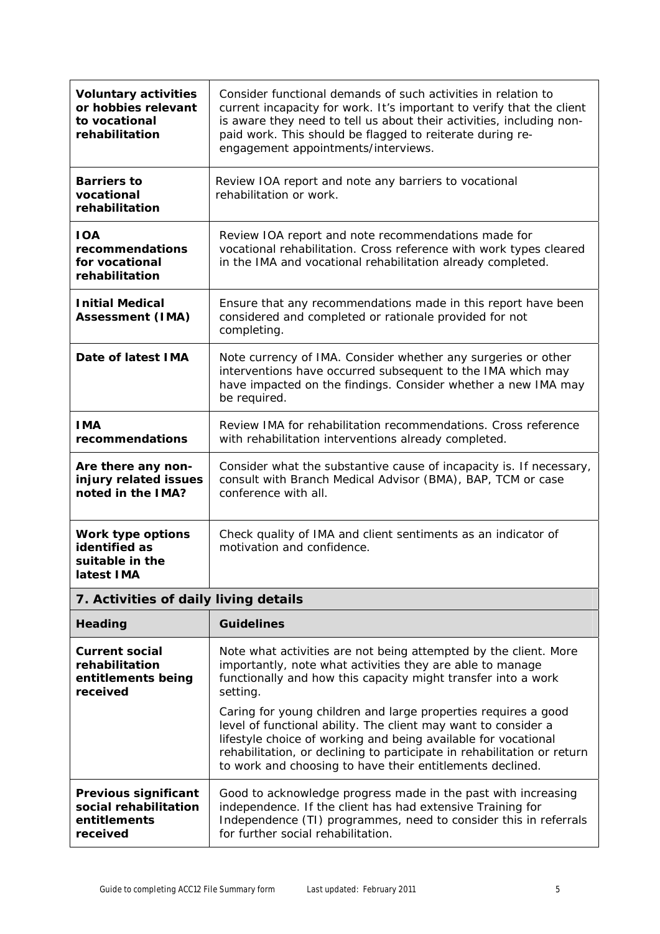| <b>Voluntary activities</b><br>or hobbies relevant<br>to vocational<br>rehabilitation | Consider functional demands of such activities in relation to<br>current incapacity for work. It's important to verify that the client<br>is aware they need to tell us about their activities, including non-<br>paid work. This should be flagged to reiterate during re-<br>engagement appointments/interviews.                         |
|---------------------------------------------------------------------------------------|--------------------------------------------------------------------------------------------------------------------------------------------------------------------------------------------------------------------------------------------------------------------------------------------------------------------------------------------|
| <b>Barriers to</b><br>vocational<br>rehabilitation                                    | Review IOA report and note any barriers to vocational<br>rehabilitation or work.                                                                                                                                                                                                                                                           |
| <b>IOA</b><br>recommendations<br>for vocational<br>rehabilitation                     | Review IOA report and note recommendations made for<br>vocational rehabilitation. Cross reference with work types cleared<br>in the IMA and vocational rehabilitation already completed.                                                                                                                                                   |
| <b>Initial Medical</b><br><b>Assessment (IMA)</b>                                     | Ensure that any recommendations made in this report have been<br>considered and completed or rationale provided for not<br>completing.                                                                                                                                                                                                     |
| Date of latest IMA                                                                    | Note currency of IMA. Consider whether any surgeries or other<br>interventions have occurred subsequent to the IMA which may<br>have impacted on the findings. Consider whether a new IMA may<br>be required.                                                                                                                              |
| <b>IMA</b><br>recommendations                                                         | Review IMA for rehabilitation recommendations. Cross reference<br>with rehabilitation interventions already completed.                                                                                                                                                                                                                     |
| Are there any non-<br>injury related issues<br>noted in the IMA?                      | Consider what the substantive cause of incapacity is. If necessary,<br>consult with Branch Medical Advisor (BMA), BAP, TCM or case<br>conference with all.                                                                                                                                                                                 |
| Work type options<br>identified as<br>suitable in the<br>latest IMA                   | Check quality of IMA and client sentiments as an indicator of<br>motivation and confidence.                                                                                                                                                                                                                                                |
| 7. Activities of daily living details                                                 |                                                                                                                                                                                                                                                                                                                                            |
| Heading                                                                               | <b>Guidelines</b>                                                                                                                                                                                                                                                                                                                          |
| <b>Current social</b><br>rehabilitation<br>entitlements being<br>received             | Note what activities are not being attempted by the client. More<br>importantly, note what activities they are able to manage<br>functionally and how this capacity might transfer into a work<br>setting.                                                                                                                                 |
|                                                                                       | Caring for young children and large properties requires a good<br>level of functional ability. The client may want to consider a<br>lifestyle choice of working and being available for vocational<br>rehabilitation, or declining to participate in rehabilitation or return<br>to work and choosing to have their entitlements declined. |
| Previous significant<br>social rehabilitation<br>entitlements<br>received             | Good to acknowledge progress made in the past with increasing<br>independence. If the client has had extensive Training for<br>Independence (TI) programmes, need to consider this in referrals<br>for further social rehabilitation.                                                                                                      |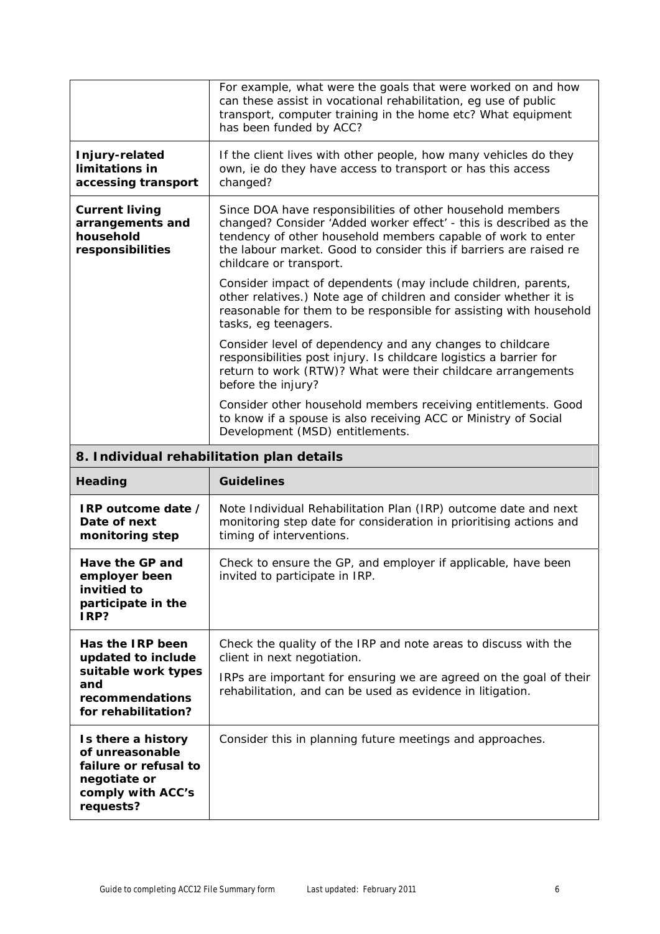|                                                                                            | For example, what were the goals that were worked on and how<br>can these assist in vocational rehabilitation, eg use of public<br>transport, computer training in the home etc? What equipment<br>has been funded by ACC?                                                                        |
|--------------------------------------------------------------------------------------------|---------------------------------------------------------------------------------------------------------------------------------------------------------------------------------------------------------------------------------------------------------------------------------------------------|
| Injury-related<br>limitations in<br>accessing transport                                    | If the client lives with other people, how many vehicles do they<br>own, ie do they have access to transport or has this access<br>changed?                                                                                                                                                       |
| <b>Current living</b><br>arrangements and<br>household<br>responsibilities                 | Since DOA have responsibilities of other household members<br>changed? Consider 'Added worker effect' - this is described as the<br>tendency of other household members capable of work to enter<br>the labour market. Good to consider this if barriers are raised re<br>childcare or transport. |
|                                                                                            | Consider impact of dependents (may include children, parents,<br>other relatives.) Note age of children and consider whether it is<br>reasonable for them to be responsible for assisting with household<br>tasks, eg teenagers.                                                                  |
|                                                                                            | Consider level of dependency and any changes to childcare<br>responsibilities post injury. Is childcare logistics a barrier for<br>return to work (RTW)? What were their childcare arrangements<br>before the injury?                                                                             |
|                                                                                            | Consider other household members receiving entitlements. Good<br>to know if a spouse is also receiving ACC or Ministry of Social<br>Development (MSD) entitlements.                                                                                                                               |
| 8. Individual rehabilitation plan details                                                  |                                                                                                                                                                                                                                                                                                   |
|                                                                                            |                                                                                                                                                                                                                                                                                                   |
| Heading                                                                                    | <b>Guidelines</b>                                                                                                                                                                                                                                                                                 |
| IRP outcome date /<br>Date of next<br>monitoring step                                      | Note Individual Rehabilitation Plan (IRP) outcome date and next<br>monitoring step date for consideration in prioritising actions and<br>timing of interventions.                                                                                                                                 |
| Have the GP and<br>employer been<br>invitied to<br>participate in the<br>IRP?              | Check to ensure the GP, and employer if applicable, have been<br>invited to participate in IRP.                                                                                                                                                                                                   |
| Has the IRP been                                                                           | Check the quality of the IRP and note areas to discuss with the                                                                                                                                                                                                                                   |
| updated to include<br>suitable work types<br>and<br>recommendations<br>for rehabilitation? | client in next negotiation.<br>IRPs are important for ensuring we are agreed on the goal of their<br>rehabilitation, and can be used as evidence in litigation.                                                                                                                                   |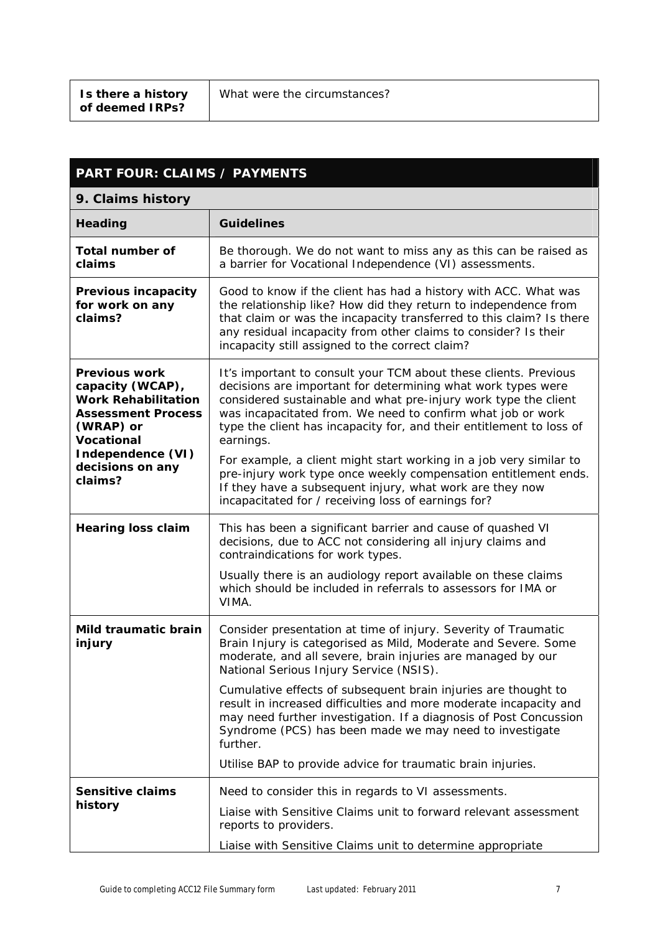| <b>PART FOUR: CLAIMS / PAYMENTS</b>                                                                                                   |                                                                                                                                                                                                                                                                                                                                                         |
|---------------------------------------------------------------------------------------------------------------------------------------|---------------------------------------------------------------------------------------------------------------------------------------------------------------------------------------------------------------------------------------------------------------------------------------------------------------------------------------------------------|
| 9. Claims history                                                                                                                     |                                                                                                                                                                                                                                                                                                                                                         |
| Heading                                                                                                                               | <b>Guidelines</b>                                                                                                                                                                                                                                                                                                                                       |
| <b>Total number of</b><br>claims                                                                                                      | Be thorough. We do not want to miss any as this can be raised as<br>a barrier for Vocational Independence (VI) assessments.                                                                                                                                                                                                                             |
| Previous incapacity<br>for work on any<br>claims?                                                                                     | Good to know if the client has had a history with ACC. What was<br>the relationship like? How did they return to independence from<br>that claim or was the incapacity transferred to this claim? Is there<br>any residual incapacity from other claims to consider? Is their<br>incapacity still assigned to the correct claim?                        |
| <b>Previous work</b><br>capacity (WCAP),<br><b>Work Rehabilitation</b><br><b>Assessment Process</b><br>(WRAP) or<br><b>Vocational</b> | It's important to consult your TCM about these clients. Previous<br>decisions are important for determining what work types were<br>considered sustainable and what pre-injury work type the client<br>was incapacitated from. We need to confirm what job or work<br>type the client has incapacity for, and their entitlement to loss of<br>earnings. |
| Independence (VI)<br>decisions on any<br>claims?                                                                                      | For example, a client might start working in a job very similar to<br>pre-injury work type once weekly compensation entitlement ends.<br>If they have a subsequent injury, what work are they now<br>incapacitated for / receiving loss of earnings for?                                                                                                |
| <b>Hearing loss claim</b>                                                                                                             | This has been a significant barrier and cause of quashed VI<br>decisions, due to ACC not considering all injury claims and<br>contraindications for work types.                                                                                                                                                                                         |
|                                                                                                                                       | Usually there is an audiology report available on these claims<br>which should be included in referrals to assessors for IMA or<br>VIMA.                                                                                                                                                                                                                |
| Mild traumatic brain<br>injury                                                                                                        | Consider presentation at time of injury. Severity of Traumatic<br>Brain Injury is categorised as Mild, Moderate and Severe. Some<br>moderate, and all severe, brain injuries are managed by our<br>National Serious Injury Service (NSIS).                                                                                                              |
|                                                                                                                                       | Cumulative effects of subsequent brain injuries are thought to<br>result in increased difficulties and more moderate incapacity and<br>may need further investigation. If a diagnosis of Post Concussion<br>Syndrome (PCS) has been made we may need to investigate<br>further.                                                                         |
|                                                                                                                                       | Utilise BAP to provide advice for traumatic brain injuries.                                                                                                                                                                                                                                                                                             |
| <b>Sensitive claims</b>                                                                                                               | Need to consider this in regards to VI assessments.                                                                                                                                                                                                                                                                                                     |
| history                                                                                                                               | Liaise with Sensitive Claims unit to forward relevant assessment<br>reports to providers.                                                                                                                                                                                                                                                               |
|                                                                                                                                       | Liaise with Sensitive Claims unit to determine appropriate                                                                                                                                                                                                                                                                                              |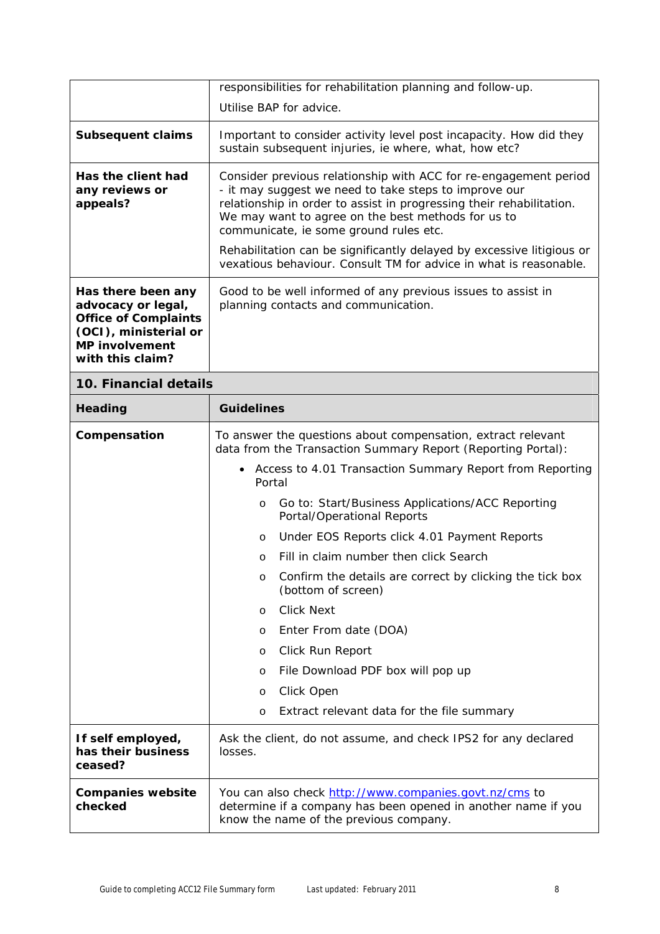|                                                                                                                                               | responsibilities for rehabilitation planning and follow-up.                                                                                                                                                                                                                                                                                                                                                                                                                                                                                                                                                                                                                                                                      |
|-----------------------------------------------------------------------------------------------------------------------------------------------|----------------------------------------------------------------------------------------------------------------------------------------------------------------------------------------------------------------------------------------------------------------------------------------------------------------------------------------------------------------------------------------------------------------------------------------------------------------------------------------------------------------------------------------------------------------------------------------------------------------------------------------------------------------------------------------------------------------------------------|
|                                                                                                                                               | Utilise BAP for advice.                                                                                                                                                                                                                                                                                                                                                                                                                                                                                                                                                                                                                                                                                                          |
| <b>Subsequent claims</b>                                                                                                                      | Important to consider activity level post incapacity. How did they<br>sustain subsequent injuries, ie where, what, how etc?                                                                                                                                                                                                                                                                                                                                                                                                                                                                                                                                                                                                      |
| Has the client had<br>any reviews or<br>appeals?                                                                                              | Consider previous relationship with ACC for re-engagement period<br>- it may suggest we need to take steps to improve our<br>relationship in order to assist in progressing their rehabilitation.<br>We may want to agree on the best methods for us to<br>communicate, ie some ground rules etc.<br>Rehabilitation can be significantly delayed by excessive litigious or                                                                                                                                                                                                                                                                                                                                                       |
|                                                                                                                                               | vexatious behaviour. Consult TM for advice in what is reasonable.                                                                                                                                                                                                                                                                                                                                                                                                                                                                                                                                                                                                                                                                |
| Has there been any<br>advocacy or legal,<br><b>Office of Complaints</b><br>(OCI), ministerial or<br><b>MP involvement</b><br>with this claim? | Good to be well informed of any previous issues to assist in<br>planning contacts and communication.                                                                                                                                                                                                                                                                                                                                                                                                                                                                                                                                                                                                                             |
| 10. Financial details                                                                                                                         |                                                                                                                                                                                                                                                                                                                                                                                                                                                                                                                                                                                                                                                                                                                                  |
| Heading                                                                                                                                       | <b>Guidelines</b>                                                                                                                                                                                                                                                                                                                                                                                                                                                                                                                                                                                                                                                                                                                |
| Compensation                                                                                                                                  | To answer the questions about compensation, extract relevant<br>data from the Transaction Summary Report (Reporting Portal):<br>Access to 4.01 Transaction Summary Report from Reporting<br>$\bullet$<br>Portal<br>Go to: Start/Business Applications/ACC Reporting<br>$\circ$<br>Portal/Operational Reports<br>Under EOS Reports click 4.01 Payment Reports<br>$\circ$<br>Fill in claim number then click Search<br>$\circ$<br>Confirm the details are correct by clicking the tick box<br>O<br>(bottom of screen)<br><b>Click Next</b><br>$\circ$<br>Enter From date (DOA)<br>O<br>Click Run Report<br>O<br>File Download PDF box will pop up<br>O<br>Click Open<br>O<br>Extract relevant data for the file summary<br>$\circ$ |
| If self employed,<br>has their business<br>ceased?                                                                                            | Ask the client, do not assume, and check IPS2 for any declared<br>losses.                                                                                                                                                                                                                                                                                                                                                                                                                                                                                                                                                                                                                                                        |
| <b>Companies website</b><br>checked                                                                                                           | You can also check http://www.companies.govt.nz/cms to<br>determine if a company has been opened in another name if you<br>know the name of the previous company.                                                                                                                                                                                                                                                                                                                                                                                                                                                                                                                                                                |